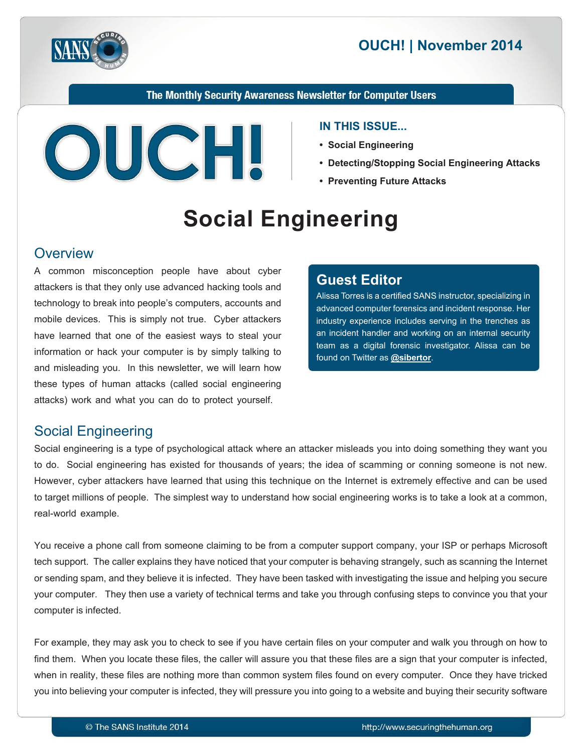

# **2014 OUCH! | November 2014**

The Monthly Security Awareness Newsletter for Computer Users



#### **IN THIS ISSUE...**

- **Social Engineering**
- **Detecting/Stopping Social Engineering Attacks**
- **Preventing Future Attacks**

# **Engineering Social**

#### **Overview**

A common misconception people have about cyber attackers is that they only use advanced hacking tools and technology to break into people's computers, accounts and mobile devices. This is simply not true. Cyber attackers have learned that one of the easiest ways to steal your information or hack your computer is by simply talking to and misleading you. In this newsletter, we will learn how these types of human attacks (called social engineering attacks) work and what you can do to protect yourself.

#### **Editor Guest**

Alissa Torres is a certified SANS instructor, specializing in advanced computer forensics and incident response. Her industry experience includes serving in the trenches as an incident handler and working on an internal security team as a digital forensic investigator. Alissa can be found on Twitter as **@[sibertor](https://twitter.com/sibertor)**.

# **Social Engineering**

Social engineering is a type of psychological attack where an attacker misleads you into doing something they want you to do. Social engineering has existed for thousands of years; the idea of scamming or conning someone is not new. However, cyber attackers have learned that using this technique on the Internet is extremely effective and can be used to target millions of people. The simplest way to understand how social engineering works is to take a look at a common, real-world example.

You receive a phone call from someone claiming to be from a computer support company, your ISP or perhaps Microsoft tech support. The caller explains they have noticed that your computer is behaving strangely, such as scanning the Internet or sending spam, and they believe it is infected. They have been tasked with investigating the issue and helping you secure your computer. They then use a variety of technical terms and take you through confusing steps to convince you that your computer is infected.

For example, they may ask you to check to see if you have certain files on your computer and walk you through on how to find them. When you locate these files, the caller will assure you that these files are a sign that your computer is infected, when in reality, these files are nothing more than common system files found on every computer. Once they have tricked you into believing your computer is infected, they will pressure you into going to a website and buying their security software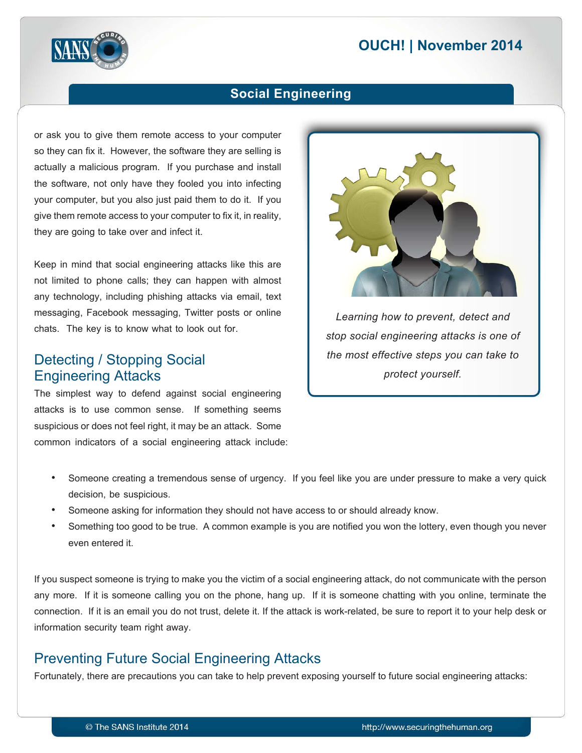# **2014 OUCH! | November 2014**



#### **Engineering Social**

or ask you to give them remote access to your computer so they can fix it. However, the software they are selling is actually a malicious program. If you purchase and install the software, not only have they fooled you into infecting your computer, but you also just paid them to do it. If you give them remote access to your computer to fix it, in reality, they are going to take over and infect it.

Keep in mind that social engineering attacks like this are not limited to phone calls; they can happen with almost any technology, including phishing attacks via email, text messaging, Facebook messaging, Twitter posts or online chats. The key is to know what to look out for.

#### Detecting / Stopping Social **Engineering Attacks**

The simplest way to defend against social engineering attacks is to use common sense. If something seems suspicious or does not feel right, it may be an attack. Some common indicators of a social engineering attack include:



Learning how to prevent, detect and *stop social engineering attacks is one of the most effective steps you can take to .yourself protect*

- Someone creating a tremendous sense of urgency. If you feel like you are under pressure to make a very quick decision, be suspicious.
- Someone asking for information they should not have access to or should already know.
- Something too good to be true. A common example is you are notified you won the lottery, even though you never even entered it.

If you suspect someone is trying to make you the victim of a social engineering attack, do not communicate with the person any more. If it is someone calling you on the phone, hang up. If it is someone chatting with you online, terminate the connection. If it is an email you do not trust, delete it. If the attack is work-related, be sure to report it to your help desk or information security team right away.

## **Preventing Future Social Engineering Attacks**

Fortunately, there are precautions you can take to help prevent exposing yourself to future social engineering attacks: